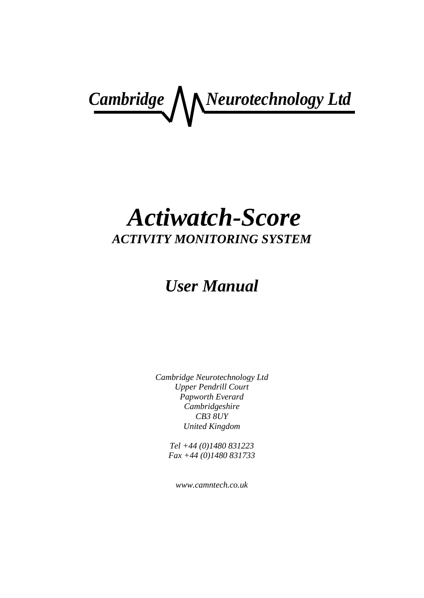**Cambridge** *Neurotechnology Ltd* 

# *Actiwatch-Score ACTIVITY MONITORING SYSTEM*

# *User Manual*

*Cambridge Neurotechnology Ltd Upper Pendrill Court Papworth Everard Cambridgeshire CB3 8UY United Kingdom*

> *Tel +44 (0)1480 831223 Fax +44 (0)1480 831733*

*www.camntech.co.uk*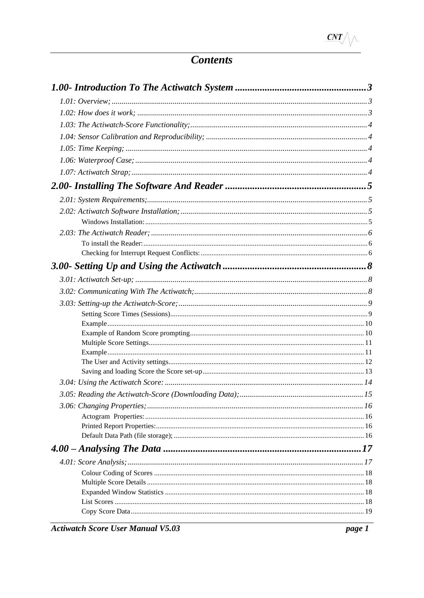# **Contents**

**Actiwatch Score User Manual V5.03** 

page 1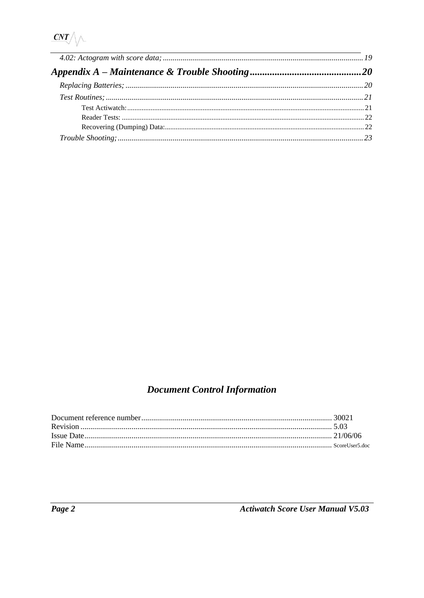| Appendix $A - Maintenance \& Trouble \Shoothing … … … … … … … … … … … … … … … … … … … … … … … … … …$ |  |
|------------------------------------------------------------------------------------------------------|--|
|                                                                                                      |  |
|                                                                                                      |  |
|                                                                                                      |  |
|                                                                                                      |  |
|                                                                                                      |  |
|                                                                                                      |  |

# **Document Control Information**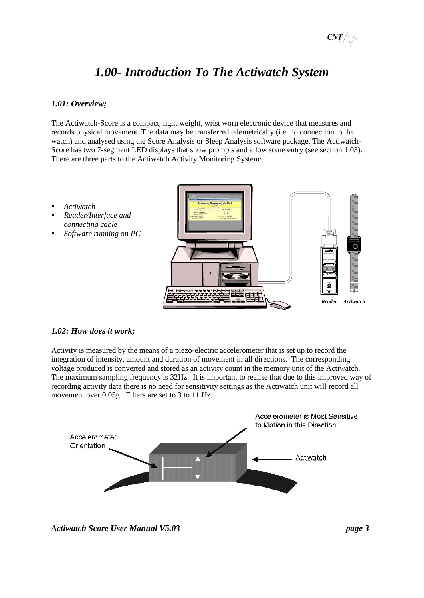# *1.00- Introduction To The Actiwatch System*

# <span id="page-4-1"></span><span id="page-4-0"></span>*1.01: Overview;*

The Actiwatch-Score is a compact, light weight, wrist worn electronic device that measures and records physical movement. The data may be transferred telemetrically (i.e. no connection to the watch) and analysed using the Score Analysis or Sleep Analysis software package. The Actiwatch-Score has two 7-segment LED displays that show prompts and allow score entry (see section 1.03). There are three parts to the Actiwatch Activity Monitoring System:

- *Actiwatch*
- *Reader/Interface and connecting cable*
- Software running on PC



#### <span id="page-4-2"></span>*1.02: How does it work;*

Activity is measured by the means of a piezo-electric accelerometer that is set up to record the integration of intensity, amount and duration of movement in all directions. The corresponding voltage produced is converted and stored as an activity count in the memory unit of the Actiwatch. The maximum sampling frequency is 32Hz. It is important to realise that due to this improved way of recording activity data there is no need for sensitivity settings as the Actiwatch unit will record all movement over 0.05g. Filters are set to 3 to 11 Hz.



#### *Actiwatch Score User Manual V5.03 page 3*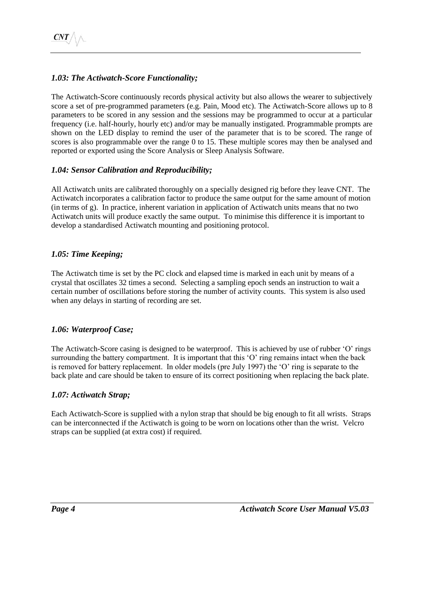# <span id="page-5-0"></span>*1.03: The Actiwatch-Score Functionality;*

The Actiwatch-Score continuously records physical activity but also allows the wearer to subjectively score a set of pre-programmed parameters (e.g. Pain, Mood etc). The Actiwatch-Score allows up to 8 parameters to be scored in any session and the sessions may be programmed to occur at a particular frequency (i.e. half-hourly, hourly etc) and/or may be manually instigated. Programmable prompts are shown on the LED display to remind the user of the parameter that is to be scored. The range of scores is also programmable over the range 0 to 15. These multiple scores may then be analysed and reported or exported using the Score Analysis or Sleep Analysis Software.

### <span id="page-5-1"></span>*1.04: Sensor Calibration and Reproducibility;*

All Actiwatch units are calibrated thoroughly on a specially designed rig before they leave CNT. The Actiwatch incorporates a calibration factor to produce the same output for the same amount of motion (in terms of g). In practice, inherent variation in application of Actiwatch units means that no two Actiwatch units will produce exactly the same output. To minimise this difference it is important to develop a standardised Actiwatch mounting and positioning protocol.

### <span id="page-5-2"></span>*1.05: Time Keeping;*

The Actiwatch time is set by the PC clock and elapsed time is marked in each unit by means of a crystal that oscillates 32 times a second. Selecting a sampling epoch sends an instruction to wait a certain number of oscillations before storing the number of activity counts. This system is also used when any delays in starting of recording are set.

# <span id="page-5-3"></span>*1.06: Waterproof Case;*

The Actiwatch-Score casing is designed to be waterproof. This is achieved by use of rubber 'O' rings surrounding the battery compartment. It is important that this 'O' ring remains intact when the back is removed for battery replacement. In older models (pre July 1997) the 'O' ring is separate to the back plate and care should be taken to ensure of its correct positioning when replacing the back plate.

# <span id="page-5-4"></span>*1.07: Actiwatch Strap;*

Each Actiwatch-Score is supplied with a nylon strap that should be big enough to fit all wrists. Straps can be interconnected if the Actiwatch is going to be worn on locations other than the wrist. Velcro straps can be supplied (at extra cost) if required.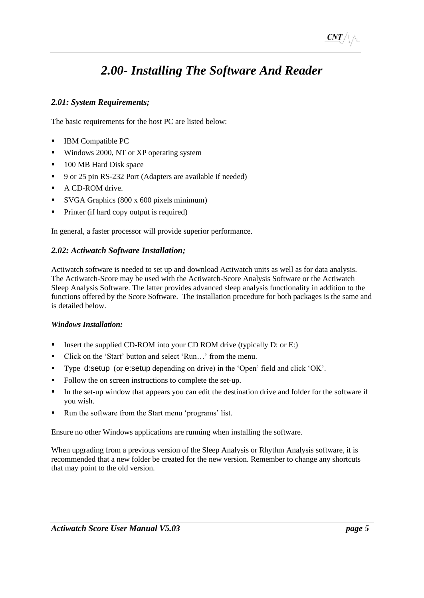# *2.00- Installing The Software And Reader*

# <span id="page-6-1"></span><span id="page-6-0"></span>*2.01: System Requirements;*

The basic requirements for the host PC are listed below:

- IBM Compatible PC
- Windows 2000, NT or XP operating system
- 100 MB Hard Disk space
- 9 or 25 pin RS-232 Port (Adapters are available if needed)
- A CD-ROM drive.
- SVGA Graphics (800 x 600 pixels minimum)
- Printer (if hard copy output is required)

In general, a faster processor will provide superior performance.

### <span id="page-6-2"></span>*2.02: Actiwatch Software Installation;*

Actiwatch software is needed to set up and download Actiwatch units as well as for data analysis. The Actiwatch-Score may be used with the Actiwatch-Score Analysis Software or the Actiwatch Sleep Analysis Software. The latter provides advanced sleep analysis functionality in addition to the functions offered by the Score Software. The installation procedure for both packages is the same and is detailed below.

#### <span id="page-6-3"></span>*Windows Installation:*

- **■** Insert the supplied CD-ROM into your CD ROM drive (typically D: or E:)
- Click on the 'Start' button and select 'Run...' from the menu.
- Type d:setup (or e:setup depending on drive) in the 'Open' field and click 'OK'.
- Follow the on screen instructions to complete the set-up.
- In the set-up window that appears you can edit the destination drive and folder for the software if you wish.
- Run the software from the Start menu 'programs' list.

Ensure no other Windows applications are running when installing the software.

When upgrading from a previous version of the Sleep Analysis or Rhythm Analysis software, it is recommended that a new folder be created for the new version. Remember to change any shortcuts that may point to the old version.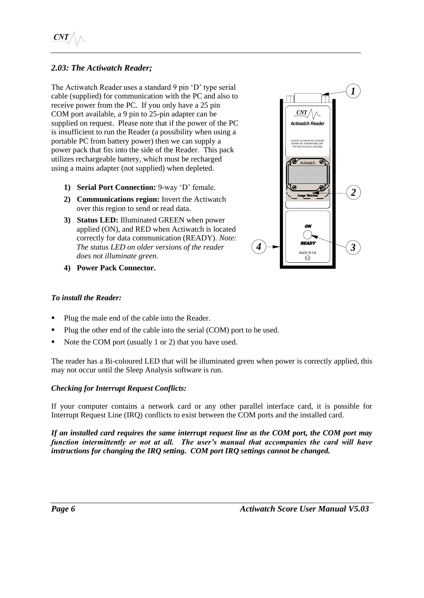# <span id="page-7-0"></span>*2.03: The Actiwatch Reader;*

The Actiwatch Reader uses a standard 9 pin 'D' type serial cable (supplied) for communication with the PC and also to receive power from the PC. If you only have a 25 pin COM port available, a 9 pin to 25-pin adapter can be supplied on request. Please note that if the power of the PC is insufficient to run the Reader (a possibility when using a portable PC from battery power) then we can supply a power pack that fits into the side of the Reader. This pack utilizes rechargeable battery, which must be recharged using a mains adapter (not supplied) when depleted.

- **1) Serial Port Connection:** 9-way 'D' female.
- **2) Communications region:** Invert the Actiwatch over this region to send or read data.
- **3) Status LED:** Illuminated GREEN when power applied (ON), and RED when Actiwatch is located correctly for data communication (READY). *Note: The status LED on older versions of the reader does not illuminate green.*
- **4) Power Pack Connector.**



#### <span id="page-7-1"></span>*To install the Reader:*

- Plug the male end of the cable into the Reader.
- Plug the other end of the cable into the serial (COM) port to be used.
- Note the COM port (usually 1 or 2) that you have used.

The reader has a Bi-coloured LED that will be illuminated green when power is correctly applied, this may not occur until the Sleep Analysis software is run.

#### <span id="page-7-2"></span>*Checking for Interrupt Request Conflicts:*

If your computer contains a network card or any other parallel interface card, it is possible for Interrupt Request Line (IRQ) conflicts to exist between the COM ports and the installed card.

*If an installed card requires the same interrupt request line as the COM port, the COM port may function intermittently or not at all. The user's manual that accompanies the card will have instructions for changing the IRQ setting. COM port IRQ settings cannot be changed.*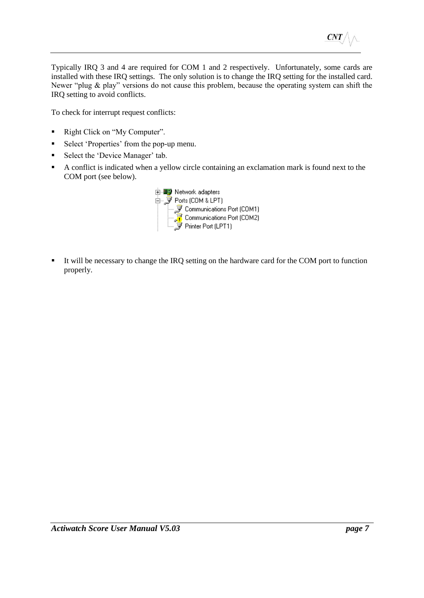Typically IRQ 3 and 4 are required for COM 1 and 2 respectively. Unfortunately, some cards are installed with these IRQ settings. The only solution is to change the IRQ setting for the installed card. Newer "plug & play" versions do not cause this problem, because the operating system can shift the IRQ setting to avoid conflicts.

To check for interrupt request conflicts:

- Right Click on "My Computer".
- Select 'Properties' from the pop-up menu.
- Select the 'Device Manager' tab.
- A conflict is indicated when a yellow circle containing an exclamation mark is found next to the COM port (see below).



■ It will be necessary to change the IRQ setting on the hardware card for the COM port to function properly.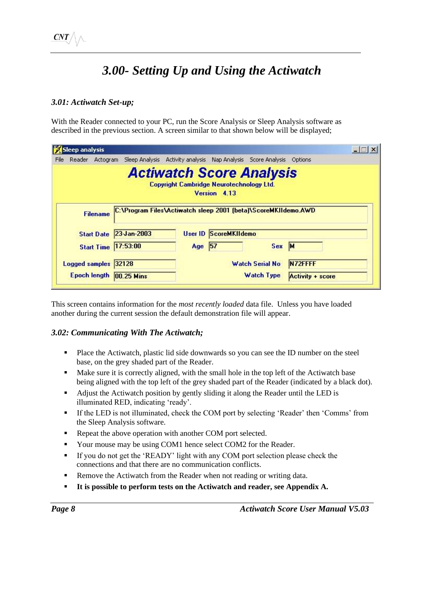# *3.00- Setting Up and Using the Actiwatch*

# <span id="page-9-1"></span><span id="page-9-0"></span>*3.01: Actiwatch Set-up;*

With the Reader connected to your PC, run the Score Analysis or Sleep Analysis software as described in the previous section. A screen similar to that shown below will be displayed;

|      | <b>Sleep analysis</b> |                                                                |                                                                                    |                              |                        |         | $ \Box$ $\times$ |
|------|-----------------------|----------------------------------------------------------------|------------------------------------------------------------------------------------|------------------------------|------------------------|---------|------------------|
| File | Reader<br>Actogram    |                                                                | Sleep Analysis Activity analysis Nap Analysis Score Analysis                       |                              |                        | Options |                  |
|      |                       |                                                                | <b>Actiwatch Score Analysis</b><br><b>Copyright Cambridge Neurotechnology Ltd.</b> | Version 4.13                 |                        |         |                  |
|      | <b>Filename</b>       | C:\Program Files\Actiwatch sleep 2001 (beta)\ScoreMKIIdemo.AWD |                                                                                    |                              |                        |         |                  |
|      |                       |                                                                |                                                                                    |                              |                        |         |                  |
|      |                       | Start Date 23-Jan-2003                                         |                                                                                    | <b>User ID ScoreMKIIdemo</b> |                        |         |                  |
|      |                       | <b>Start Time 17:53:00</b>                                     | Age 57                                                                             |                              | Sex                    | M       |                  |
|      | Logged samples 32128  |                                                                |                                                                                    |                              | <b>Watch Serial No</b> | N72FFFF |                  |

This screen contains information for the *most recently loaded* data file. Unless you have loaded another during the current session the default demonstration file will appear.

# <span id="page-9-2"></span>*3.02: Communicating With The Actiwatch;*

- Place the Actiwatch, plastic lid side downwards so you can see the ID number on the steel base, on the grey shaded part of the Reader.
- Make sure it is correctly aligned, with the small hole in the top left of the Actiwatch base being aligned with the top left of the grey shaded part of the Reader (indicated by a black dot).
- Adjust the Actiwatch position by gently sliding it along the Reader until the LED is illuminated RED, indicating 'ready'.
- If the LED is not illuminated, check the COM port by selecting 'Reader' then 'Comms' from the Sleep Analysis software.
- Repeat the above operation with another COM port selected.
- Your mouse may be using COM1 hence select COM2 for the Reader.
- **EXECUTE:** If you do not get the 'READY' light with any COM port selection please check the connections and that there are no communication conflicts.
- Remove the Actiwatch from the Reader when not reading or writing data.
- It is possible to perform tests on the Actiwatch and reader, see Appendix A.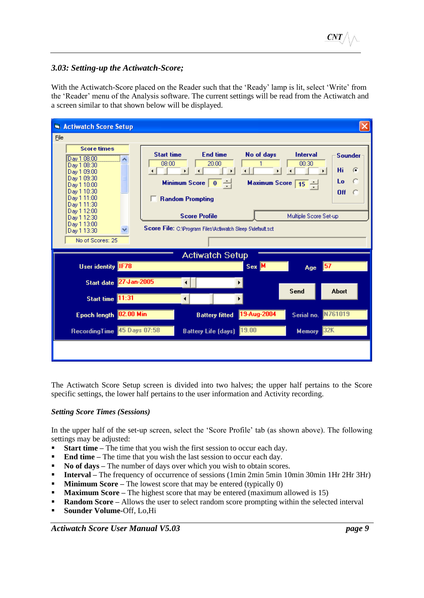#### <span id="page-10-0"></span>*3.03: Setting-up the Actiwatch-Score;*

With the Actiwatch-Score placed on the Reader such that the 'Ready' lamp is lit, select 'Write' from the 'Reader' menu of the Analysis software. The current settings will be read from the Actiwatch and a screen similar to that shown below will be displayed.

| <b>Actiwatch Score Setup</b>                                                                                                                              |                                                                                                                                                                                 |             |                                                    |                                        |
|-----------------------------------------------------------------------------------------------------------------------------------------------------------|---------------------------------------------------------------------------------------------------------------------------------------------------------------------------------|-------------|----------------------------------------------------|----------------------------------------|
| File                                                                                                                                                      |                                                                                                                                                                                 |             |                                                    |                                        |
| <b>Score times</b><br>Day 1 08:00<br>Day 1 08:30<br>Dav 1 09:00<br>Dav 1 09:30<br>Day 1 10:00<br>Dav 1 10:30<br>Day 1 11:00<br>Day 1 11:30<br>Dav 1 12:00 | <b>Start time</b><br><b>End time</b><br>08:00<br>20:00<br>$\blacktriangleright$<br>$\overline{\bullet}$ $\overline{\bullet}$<br><b>Minimum Score</b><br><b>Random Prompting</b> | No of days  | <b>Interval</b><br>00:30<br>×.<br>Maximum Score 15 | <b>Sounder</b><br>Hi<br>G<br>Lo<br>Off |
| Day 1 12:30<br>Day 1 13:00                                                                                                                                | <b>Score Profile</b>                                                                                                                                                            |             | Multiple Score Set-up                              |                                        |
| Day 1 13:30<br>No of Scores: 25                                                                                                                           | Score File: C:\Program Files\Activatch Sleep 5\default.sct                                                                                                                      |             |                                                    |                                        |
|                                                                                                                                                           |                                                                                                                                                                                 |             |                                                    |                                        |
| User identity IF78                                                                                                                                        | <b>Actiwatch Setup</b>                                                                                                                                                          | $Sex$ M     | Age                                                |                                        |
| Start date 27-Jan-2005                                                                                                                                    |                                                                                                                                                                                 |             |                                                    |                                        |
| Start time 11:31                                                                                                                                          |                                                                                                                                                                                 |             | Send                                               | <b>Abort</b>                           |
| Epoch length 02.00 Min                                                                                                                                    | <b>Battery fitted</b>                                                                                                                                                           | 19-Aug-2004 | Serial no.                                         | N761019                                |
| RecordingTime 45 Days 07:58                                                                                                                               | Battery Life (days) 19.00                                                                                                                                                       |             | <b>Memory</b>                                      | 32K                                    |
|                                                                                                                                                           |                                                                                                                                                                                 |             |                                                    |                                        |

The Actiwatch Score Setup screen is divided into two halves; the upper half pertains to the Score specific settings, the lower half pertains to the user information and Activity recording.

#### <span id="page-10-1"></span>*Setting Score Times (Sessions)*

In the upper half of the set-up screen, select the 'Score Profile' tab (as shown above). The following settings may be adjusted:

- **Start time –** The time that you wish the first session to occur each day.
- **End time –** The time that you wish the last session to occur each day.
- **No of days** The number of days over which you wish to obtain scores.
- **Interval** The frequency of occurrence of sessions (1min 2min 5min 10min 30min 1Hr 2Hr 3Hr)
- **Minimum Score** The lowest score that may be entered (typically 0)
- **Maximum Score** The highest score that may be entered (maximum allowed is 15)
- **Random Score** Allows the user to select random score prompting within the selected interval
- **Sounder Volume-**Off, Lo,Hi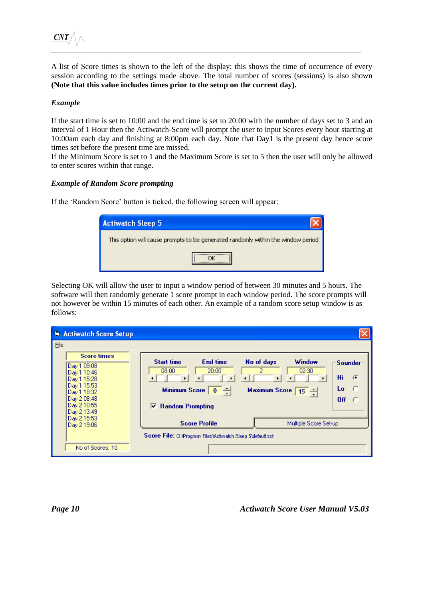A list of Score times is shown to the left of the display; this shows the time of occurrence of every session according to the settings made above. The total number of scores (sessions) is also shown **(Note that this value includes times prior to the setup on the current day).**

#### <span id="page-11-0"></span>*Example*

If the start time is set to 10:00 and the end time is set to 20:00 with the number of days set to 3 and an interval of 1 Hour then the Actiwatch-Score will prompt the user to input Scores every hour starting at 10:00am each day and finishing at 8:00pm each day. Note that Day1 is the present day hence score times set before the present time are missed.

If the Minimum Score is set to 1 and the Maximum Score is set to 5 then the user will only be allowed to enter scores within that range.

#### <span id="page-11-1"></span>*Example of Random Score prompting*

If the 'Random Score' button is ticked, the following screen will appear:

| <b>Actiwatch Sleep 5</b>                                                         |  |
|----------------------------------------------------------------------------------|--|
| This option will cause prompts to be generated randomly within the window period |  |
|                                                                                  |  |

Selecting OK will allow the user to input a window period of between 30 minutes and 5 hours. The software will then randomly generate 1 score prompt in each window period. The score prompts will not however be within 15 minutes of each other. An example of a random score setup window is as follows:

|      | <b>N</b> Actiwatch Score Setup                                                                        |                                                                                                                                                   |                       |
|------|-------------------------------------------------------------------------------------------------------|---------------------------------------------------------------------------------------------------------------------------------------------------|-----------------------|
| File | <b>Score times</b><br>Day 1 09:08                                                                     | <b>Start time</b><br><b>End time</b><br>No of days<br>Window                                                                                      | <b>Sounder</b>        |
|      | Day 1 10:46<br>Day 1 15:28<br>Day 1 15:53<br>Day 1 18:32<br>Day 2 08:48<br>Day 2 10:55<br>Day 2 13:49 | 08:00<br>2<br>02:30<br>20:00<br>$\boxed{0}$ $\rightarrow$<br><b>Minimum Score</b><br>Maximum Score $\boxed{15}$ -<br><b>Random Prompting</b><br>M | Hi.<br>G<br>Lo<br>Off |
|      | Day 2 15:53<br>Day 2 19:06                                                                            | <b>Score Profile</b><br>Multiple Score Set-up<br><b>Score File:</b> C:\Program Files\Activatch Sleep 5\default.sct                                |                       |
|      | No of Scores: 10                                                                                      |                                                                                                                                                   |                       |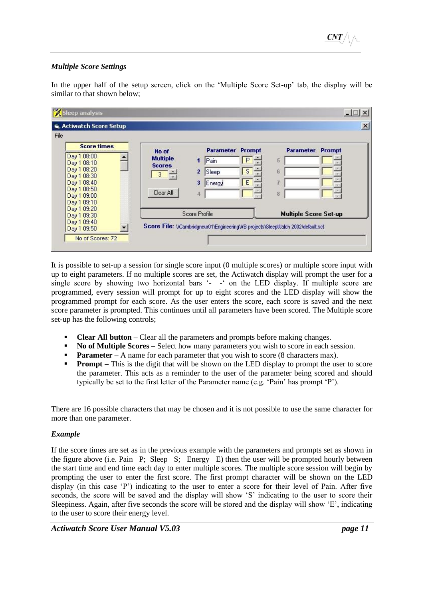#### <span id="page-12-0"></span>*Multiple Score Settings*

In the upper half of the setup screen, click on the 'Multiple Score Set-up' tab, the display will be similar to that shown below;

| <b>G. Actiwatch Score Setup</b>                                                                                      |                                                                          |                                                                                                 |              |                              |        |
|----------------------------------------------------------------------------------------------------------------------|--------------------------------------------------------------------------|-------------------------------------------------------------------------------------------------|--------------|------------------------------|--------|
| <b>Score times</b>                                                                                                   | No of                                                                    | <b>Parameter</b>                                                                                | Prompt       | Parameter                    | Prompt |
| Day 1 08:00<br>Day 1 08:10<br>Day 1 08:20<br>Day 1 08:30<br>Day 1 08:40<br>Day 1 08:50<br>Day 1 09:00<br>Day 1 09:10 | <b>Multiple</b><br><b>Scores</b><br>$\overline{\mathbf{3}}$<br>Clear All | Pain<br>1<br>2<br>Sleep<br>3<br>Energy<br>4                                                     | P<br>S.<br>E | 5<br>6<br>8                  |        |
| Day 1 09:20<br>Day 1 09:30<br>Day 1 09:40<br>Day 1 09:50                                                             |                                                                          | Score Profile<br>Score File: WGambridgneur01/EngineeringWB projects\SleepWatch 2002\default.sct |              | <b>Multiple Score Set-up</b> |        |

It is possible to set-up a session for single score input (0 multiple scores) or multiple score input with up to eight parameters. If no multiple scores are set, the Actiwatch display will prompt the user for a single score by showing two horizontal bars '- -' on the LED display. If multiple score are programmed, every session will prompt for up to eight scores and the LED display will show the programmed prompt for each score. As the user enters the score, each score is saved and the next score parameter is prompted. This continues until all parameters have been scored. The Multiple score set-up has the following controls;

- **Clear All button** Clear all the parameters and prompts before making changes.<br>■ No of Multiple Scores Select how many parameters you wish to score in each s
- **No of Multiple Scores** Select how many parameters you wish to score in each session.
- **Parameter** A name for each parameter that you wish to score (8 characters max).
- **Prompt** This is the digit that will be shown on the LED display to prompt the user to score the parameter. This acts as a reminder to the user of the parameter being scored and should typically be set to the first letter of the Parameter name (e.g. 'Pain' has prompt 'P').

There are 16 possible characters that may be chosen and it is not possible to use the same character for more than one parameter.

#### <span id="page-12-1"></span>*Example*

If the score times are set as in the previous example with the parameters and prompts set as shown in the figure above (i.e. Pain P; Sleep S; Energy E) then the user will be prompted hourly between the start time and end time each day to enter multiple scores. The multiple score session will begin by prompting the user to enter the first score. The first prompt character will be shown on the LED display (in this case 'P') indicating to the user to enter a score for their level of Pain. After five seconds, the score will be saved and the display will show 'S' indicating to the user to score their Sleepiness. Again, after five seconds the score will be stored and the display will show 'E', indicating to the user to score their energy level.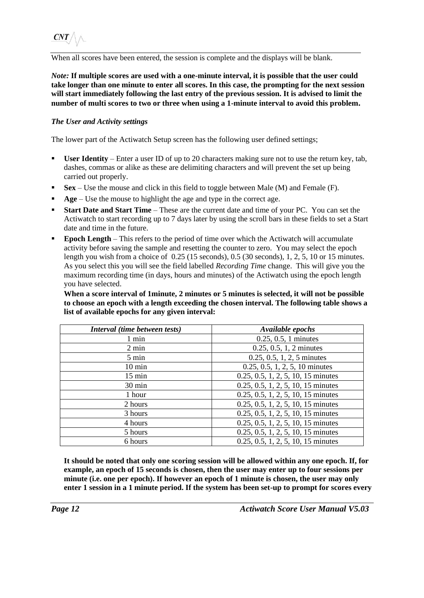When all scores have been entered, the session is complete and the displays will be blank.

*Note:* **If multiple scores are used with a one-minute interval, it is possible that the user could take longer than one minute to enter all scores. In this case, the prompting for the next session will start immediately following the last entry of the previous session. It is advised to limit the number of multi scores to two or three when using a 1-minute interval to avoid this problem.**

#### <span id="page-13-0"></span>*The User and Activity settings*

The lower part of the Actiwatch Setup screen has the following user defined settings;

- User **Identity** Enter a user ID of up to 20 characters making sure not to use the return key, tab, dashes, commas or alike as these are delimiting characters and will prevent the set up being carried out properly.
- $Sex Use$  the mouse and click in this field to toggle between Male (M) and Female (F).
- **Age** Use the mouse to highlight the age and type in the correct age.
- **Example 1 Start Date and Start Time** These are the current date and time of your PC. You can set the Actiwatch to start recording up to 7 days later by using the scroll bars in these fields to set a Start date and time in the future.
- **Epoch Length** This refers to the period of time over which the Actiwatch will accumulate activity before saving the sample and resetting the counter to zero. You may select the epoch length you wish from a choice of 0.25 (15 seconds), 0.5 (30 seconds), 1, 2, 5, 10 or 15 minutes. As you select this you will see the field labelled *Recording Time* change. This will give you the maximum recording time (in days, hours and minutes) of the Actiwatch using the epoch length you have selected.

**When a score interval of 1minute, 2 minutes or 5 minutes is selected, it will not be possible to choose an epoch with a length exceeding the chosen interval. The following table shows a list of available epochs for any given interval:**

| Interval (time between tests) | Available epochs                     |
|-------------------------------|--------------------------------------|
| 1 min                         | $0.25, 0.5, 1$ minutes               |
| $2 \text{ min}$               | $0.25, 0.5, 1, 2$ minutes            |
| 5 min                         | $0.25, 0.5, 1, 2, 5$ minutes         |
| $10 \text{ min}$              | $0.25, 0.5, 1, 2, 5, 10$ minutes     |
| $15 \text{ min}$              | $0.25, 0.5, 1, 2, 5, 10, 15$ minutes |
| 30 min                        | $0.25, 0.5, 1, 2, 5, 10, 15$ minutes |
| 1 hour                        | $0.25, 0.5, 1, 2, 5, 10, 15$ minutes |
| 2 hours                       | $0.25, 0.5, 1, 2, 5, 10, 15$ minutes |
| 3 hours                       | $0.25, 0.5, 1, 2, 5, 10, 15$ minutes |
| 4 hours                       | $0.25, 0.5, 1, 2, 5, 10, 15$ minutes |
| 5 hours                       | $0.25, 0.5, 1, 2, 5, 10, 15$ minutes |
| 6 hours                       | $0.25, 0.5, 1, 2, 5, 10, 15$ minutes |

**It should be noted that only one scoring session will be allowed within any one epoch. If, for example, an epoch of 15 seconds is chosen, then the user may enter up to four sessions per minute (i.e. one per epoch). If however an epoch of 1 minute is chosen, the user may only enter 1 session in a 1 minute period. If the system has been set-up to prompt for scores every**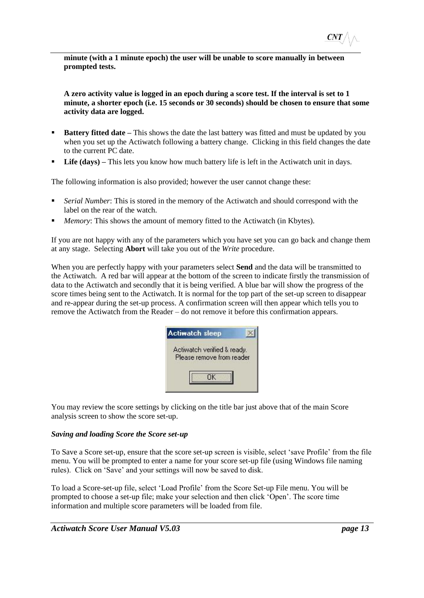**minute (with a 1 minute epoch) the user will be unable to score manually in between prompted tests.**

**A zero activity value is logged in an epoch during a score test. If the interval is set to 1 minute, a shorter epoch (i.e. 15 seconds or 30 seconds) should be chosen to ensure that some activity data are logged.**

- **Battery fitted date** This shows the date the last battery was fitted and must be updated by you when you set up the Actiwatch following a battery change. Clicking in this field changes the date to the current PC date.
- **Life (days) –** This lets you know how much battery life is left in the Actiwatch unit in days.

The following information is also provided; however the user cannot change these:

- *Serial Number*: This is stored in the memory of the Actiwatch and should correspond with the label on the rear of the watch.
- *Memory*: This shows the amount of memory fitted to the Actiwatch (in Kbytes).

If you are not happy with any of the parameters which you have set you can go back and change them at any stage. Selecting **Abort** will take you out of the *Write* procedure.

When you are perfectly happy with your parameters select **Send** and the data will be transmitted to the Actiwatch. A red bar will appear at the bottom of the screen to indicate firstly the transmission of data to the Actiwatch and secondly that it is being verified. A blue bar will show the progress of the score times being sent to the Actiwatch. It is normal for the top part of the set-up screen to disappear and re-appear during the set-up process. A confirmation screen will then appear which tells you to remove the Actiwatch from the Reader – do not remove it before this confirmation appears.

| <b>Actiwatch sleep</b>                                   |  |
|----------------------------------------------------------|--|
| Actiwatch verified & ready.<br>Please remove from reader |  |

You may review the score settings by clicking on the title bar just above that of the main Score analysis screen to show the score set-up.

#### <span id="page-14-0"></span>*Saving and loading Score the Score set-up*

To Save a Score set-up, ensure that the score set-up screen is visible, select 'save Profile' from the file menu. You will be prompted to enter a name for your score set-up file (using Windows file naming rules). Click on 'Save' and your settings will now be saved to disk.

To load a Score-set-up file, select 'Load Profile' from the Score Set-up File menu. You will be prompted to choose a set-up file; make your selection and then click 'Open'. The score time information and multiple score parameters will be loaded from file.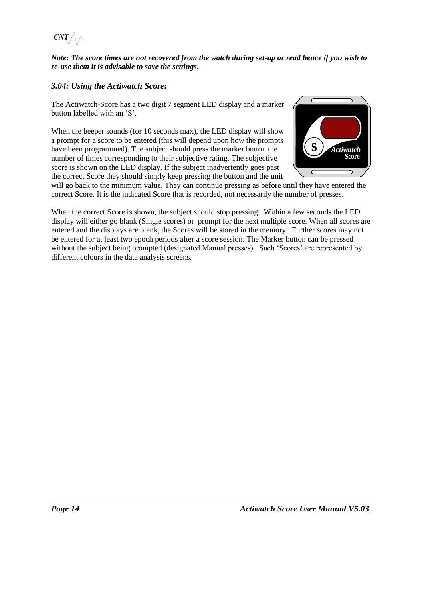$CNT$ 

*Note: The score times are not recovered from the watch during set-up or read hence if you wish to re-use them it is advisable to save the settings.*

### <span id="page-15-0"></span>*3.04: Using the Actiwatch Score:*

The Actiwatch-Score has a two digit 7 segment LED display and a marker button labelled with an 'S'.

When the beeper sounds (for 10 seconds max), the LED display will show a prompt for a score to be entered (this will depend upon how the prompts have been programmed). The subject should press the marker button the number of times corresponding to their subjective rating. The subjective score is shown on the LED display. If the subject inadvertently goes past the correct Score they should simply keep pressing the button and the unit



will go back to the minimum value. They can continue pressing as before until they have entered the correct Score. It is the indicated Score that is recorded, not necessarily the number of presses.

When the correct Score is shown, the subject should stop pressing. Within a few seconds the LED display will either go blank (Single scores) or prompt for the next multiple score. When all scores are entered and the displays are blank, the Scores will be stored in the memory. Further scores may not be entered for at least two epoch periods after a score session. The Marker button can be pressed without the subject being prompted (designated Manual presses). Such 'Scores' are represented by different colours in the data analysis screens.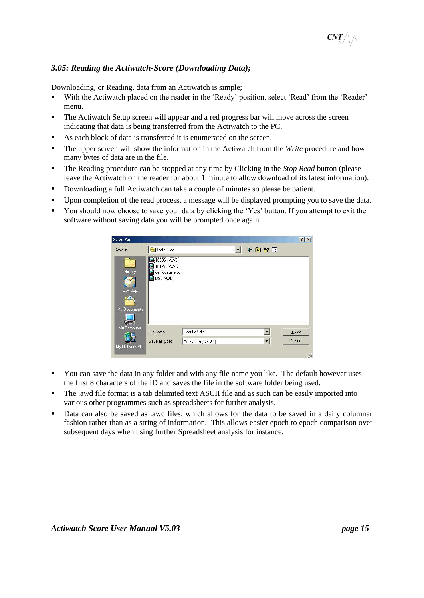### <span id="page-16-0"></span>*3.05: Reading the Actiwatch-Score (Downloading Data);*

Downloading, or Reading, data from an Actiwatch is simple;

- With the Actiwatch placed on the reader in the 'Ready' position, select 'Read' from the 'Reader' menu.
- The Actiwatch Setup screen will appear and a red progress bar will move across the screen indicating that data is being transferred from the Actiwatch to the PC.
- As each block of data is transferred it is enumerated on the screen.
- The upper screen will show the information in the Actiwatch from the *Write* procedure and how many bytes of data are in the file.
- The Reading procedure can be stopped at any time by Clicking in the *Stop Read* button (please leave the Actiwatch on the reader for about 1 minute to allow download of its latest information).
- Downloading a full Actiwatch can take a couple of minutes so please be patient.
- Upon completion of the read process, a message will be displayed prompting you to save the data.
- You should now choose to save your data by clicking the 'Yes' button. If you attempt to exit the software without saving data you will be prompted once again.



- You can save the data in any folder and with any file name you like. The default however uses the first 8 characters of the ID and saves the file in the software folder being used.
- The .awd file format is a tab delimited text ASCII file and as such can be easily imported into various other programmes such as spreadsheets for further analysis.
- Data can also be saved as .awc files, which allows for the data to be saved in a daily columnar fashion rather than as a string of information. This allows easier epoch to epoch comparison over subsequent days when using further Spreadsheet analysis for instance.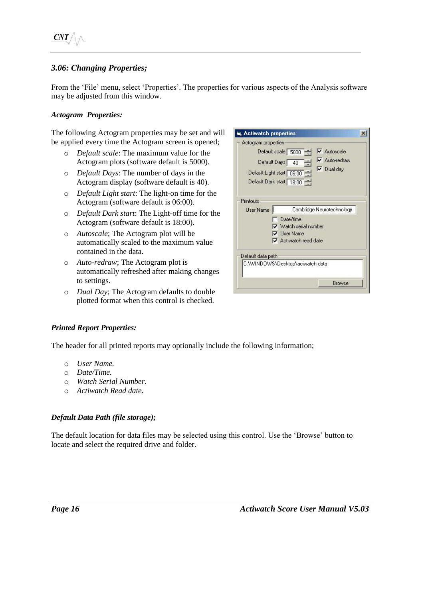### <span id="page-17-0"></span>*3.06: Changing Properties;*

From the 'File' menu, select 'Properties'. The properties for various aspects of the Analysis software may be adjusted from this window.

#### <span id="page-17-1"></span>*Actogram Properties:*

The following Actogram properties may be set and will be applied every time the Actogram screen is opened;

- o *Default scale*: The maximum value for the Actogram plots (software default is 5000).
- o *Default Days*: The number of days in the Actogram display (software default is 40).
- o *Default Light start*: The light-on time for the Actogram (software default is 06:00).
- o *Default Dark start*: The Light-off time for the Actogram (software default is 18:00).
- o *Autoscale*; The Actogram plot will be automatically scaled to the maximum value contained in the data.
- o *Auto-redraw*; The Actogram plot is automatically refreshed after making changes to settings.
- o *Dual Day*; The Actogram defaults to double plotted format when this control is checked.



#### <span id="page-17-2"></span>*Printed Report Properties:*

The header for all printed reports may optionally include the following information;

- o *User Name.*
- o *Date/Time.*
- o *Watch Serial Number.*
- o *Actiwatch Read date.*

#### <span id="page-17-3"></span>*Default Data Path (file storage);*

The default location for data files may be selected using this control. Use the 'Browse' button to locate and select the required drive and folder.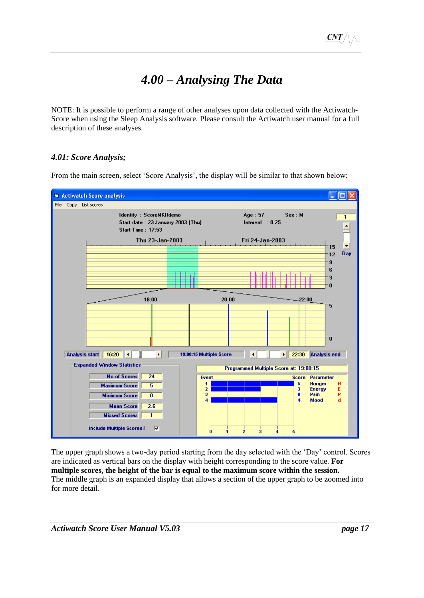# *4.00 – Analysing The Data*

<span id="page-18-0"></span>NOTE: It is possible to perform a range of other analyses upon data collected with the Actiwatch-Score when using the Sleep Analysis software. Please consult the Actiwatch user manual for a full description of these analyses.

### <span id="page-18-1"></span>*4.01: Score Analysis;*

From the main screen, select 'Score Analysis', the display will be similar to that shown below;



The upper graph shows a two-day period starting from the day selected with the 'Day' control. Scores are indicated as vertical bars on the display with height corresponding to the score value. **For multiple scores, the height of the bar is equal to the maximum score within the session.** The middle graph is an expanded display that allows a section of the upper graph to be zoomed into for more detail.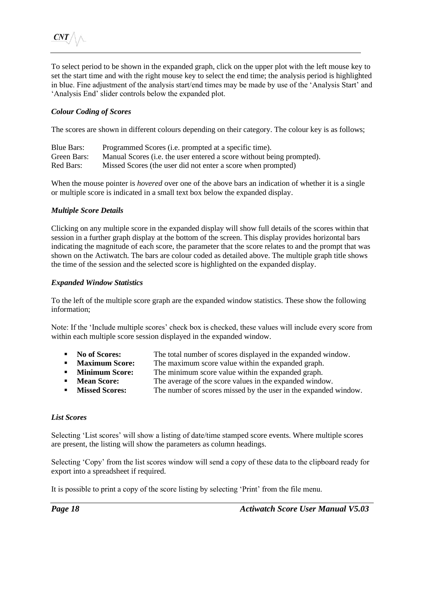To select period to be shown in the expanded graph, click on the upper plot with the left mouse key to set the start time and with the right mouse key to select the end time; the analysis period is highlighted in blue. Fine adjustment of the analysis start/end times may be made by use of the 'Analysis Start' and 'Analysis End' slider controls below the expanded plot.

#### <span id="page-19-0"></span>*Colour Coding of Scores*

The scores are shown in different colours depending on their category. The colour key is as follows;

| Blue Bars:  | Programmed Scores ( <i>i.e.</i> prompted at a specific time).         |
|-------------|-----------------------------------------------------------------------|
| Green Bars: | Manual Scores (i.e. the user entered a score without being prompted). |
| Red Bars:   | Missed Scores (the user did not enter a score when prompted)          |

When the mouse pointer is *hovered* over one of the above bars an indication of whether it is a single or multiple score is indicated in a small text box below the expanded display.

#### <span id="page-19-1"></span>*Multiple Score Details*

Clicking on any multiple score in the expanded display will show full details of the scores within that session in a further graph display at the bottom of the screen. This display provides horizontal bars indicating the magnitude of each score, the parameter that the score relates to and the prompt that was shown on the Actiwatch. The bars are colour coded as detailed above. The multiple graph title shows the time of the session and the selected score is highlighted on the expanded display.

#### <span id="page-19-2"></span>*Expanded Window Statistics*

To the left of the multiple score graph are the expanded window statistics. These show the following information;

Note: If the 'Include multiple scores' check box is checked, these values will include every score from within each multiple score session displayed in the expanded window.

- **No of Scores:** The total number of scores displayed in the expanded window.
- **EXECUTE:** The maximum score value within the expanded graph.<br> **EXECUTE:** The minimum score value within the expanded graph.
	- **Minimum Score:** The minimum score value within the expanded graph.
- **Mean Score:** The average of the score values in the expanded window.
- **If Missed Scores:** The number of scores missed by the user in the expanded window.

#### <span id="page-19-3"></span>*List Scores*

Selecting 'List scores' will show a listing of date/time stamped score events. Where multiple scores are present, the listing will show the parameters as column headings.

Selecting 'Copy' from the list scores window will send a copy of these data to the clipboard ready for export into a spreadsheet if required.

It is possible to print a copy of the score listing by selecting 'Print' from the file menu.

*Page 18 Actiwatch Score User Manual V5.03*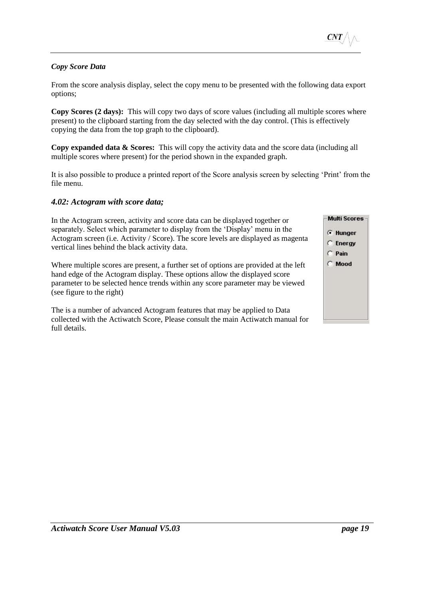#### <span id="page-20-0"></span>*Copy Score Data*

From the score analysis display, select the copy menu to be presented with the following data export options;

**Copy Scores (2 days):** This will copy two days of score values (including all multiple scores where present) to the clipboard starting from the day selected with the day control. (This is effectively copying the data from the top graph to the clipboard).

**Copy expanded data & Scores:** This will copy the activity data and the score data (including all multiple scores where present) for the period shown in the expanded graph.

It is also possible to produce a printed report of the Score analysis screen by selecting 'Print' from the file menu.

#### <span id="page-20-1"></span>*4.02: Actogram with score data;*

In the Actogram screen, activity and score data can be displayed together or separately. Select which parameter to display from the 'Display' menu in the Actogram screen (i.e. Activity / Score). The score levels are displayed as magenta vertical lines behind the black activity data.

Where multiple scores are present, a further set of options are provided at the left hand edge of the Actogram display. These options allow the displayed score parameter to be selected hence trends within any score parameter may be viewed (see figure to the right)

The is a number of advanced Actogram features that may be applied to Data collected with the Actiwatch Score, Please consult the main Actiwatch manual for full details.

| <b>F</b> Hunger |
|-----------------|
| <b>C</b> Energy |
| $\subset$ Pain  |
| C Mood          |
|                 |
|                 |
|                 |
|                 |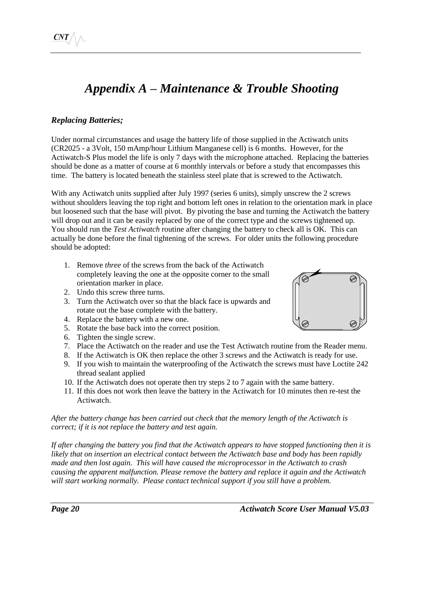# *Appendix A – Maintenance & Trouble Shooting*

# <span id="page-21-1"></span><span id="page-21-0"></span>*Replacing Batteries;*

Under normal circumstances and usage the battery life of those supplied in the Actiwatch units (CR2025 - a 3Volt, 150 mAmp/hour Lithium Manganese cell) is 6 months. However, for the Actiwatch-S Plus model the life is only 7 days with the microphone attached. Replacing the batteries should be done as a matter of course at 6 monthly intervals or before a study that encompasses this time. The battery is located beneath the stainless steel plate that is screwed to the Actiwatch.

With any Actiwatch units supplied after July 1997 (series 6 units), simply unscrew the 2 screws without shoulders leaving the top right and bottom left ones in relation to the orientation mark in place but loosened such that the base will pivot. By pivoting the base and turning the Actiwatch the battery will drop out and it can be easily replaced by one of the correct type and the screws tightened up. You should run the *Test Actiwatch* routine after changing the battery to check all is OK. This can actually be done before the final tightening of the screws. For older units the following procedure should be adopted:

- 1. Remove *three* of the screws from the back of the Actiwatch completely leaving the one at the opposite corner to the small orientation marker in place.
- 2. Undo this screw three turns.
- 3. Turn the Actiwatch over so that the black face is upwards and rotate out the base complete with the battery.
- 4. Replace the battery with a new one.
- 5. Rotate the base back into the correct position.
- 6. Tighten the single screw.
- 7. Place the Actiwatch on the reader and use the Test Actiwatch routine from the Reader menu.
- 8. If the Actiwatch is OK then replace the other 3 screws and the Actiwatch is ready for use.
- 9. If you wish to maintain the waterproofing of the Actiwatch the screws must have Loctite 242 thread sealant applied
- 10. If the Actiwatch does not operate then try steps 2 to 7 again with the same battery.
- 11. If this does not work then leave the battery in the Actiwatch for 10 minutes then re-test the Actiwatch.

*After the battery change has been carried out check that the memory length of the Actiwatch is correct; if it is not replace the battery and test again.*

*If after changing the battery you find that the Actiwatch appears to have stopped functioning then it is likely that on insertion an electrical contact between the Actiwatch base and body has been rapidly made and then lost again. This will have caused the microprocessor in the Actiwatch to crash causing the apparent malfunction. Please remove the battery and replace it again and the Actiwatch will start working normally. Please contact technical support if you still have a problem.*

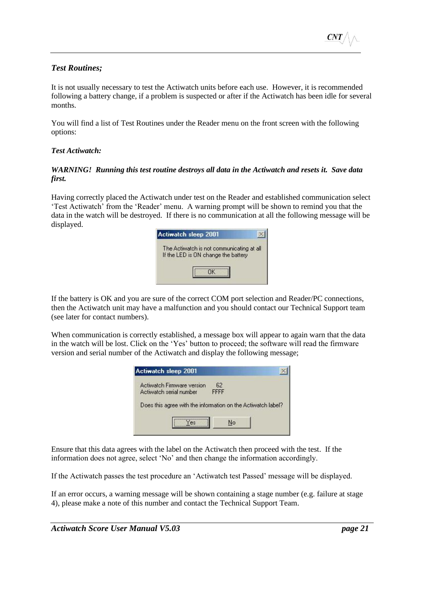#### <span id="page-22-0"></span>*Test Routines;*

It is not usually necessary to test the Actiwatch units before each use. However, it is recommended following a battery change, if a problem is suspected or after if the Actiwatch has been idle for several months.

You will find a list of Test Routines under the Reader menu on the front screen with the following options:

#### <span id="page-22-1"></span>*Test Actiwatch:*

#### *WARNING! Running this test routine destroys all data in the Actiwatch and resets it. Save data first.*

Having correctly placed the Actiwatch under test on the Reader and established communication select 'Test Actiwatch' from the 'Reader' menu. A warning prompt will be shown to remind you that the data in the watch will be destroyed. If there is no communication at all the following message will be displayed.



If the battery is OK and you are sure of the correct COM port selection and Reader/PC connections, then the Actiwatch unit may have a malfunction and you should contact our Technical Support team (see later for contact numbers).

When communication is correctly established, a message box will appear to again warn that the data in the watch will be lost. Click on the 'Yes' button to proceed; the software will read the firmware version and serial number of the Actiwatch and display the following message;

| <b>Actiwatch Firmware version</b>                            | 62   |  |
|--------------------------------------------------------------|------|--|
| Actiwatch serial number                                      | FFFF |  |
|                                                              |      |  |
|                                                              |      |  |
|                                                              |      |  |
| Does this agree with the information on the Actiwatch label? |      |  |
|                                                              |      |  |

Ensure that this data agrees with the label on the Actiwatch then proceed with the test. If the information does not agree, select 'No' and then change the information accordingly.

If the Actiwatch passes the test procedure an 'Actiwatch test Passed' message will be displayed.

If an error occurs, a warning message will be shown containing a stage number (e.g. failure at stage 4), please make a note of this number and contact the Technical Support Team.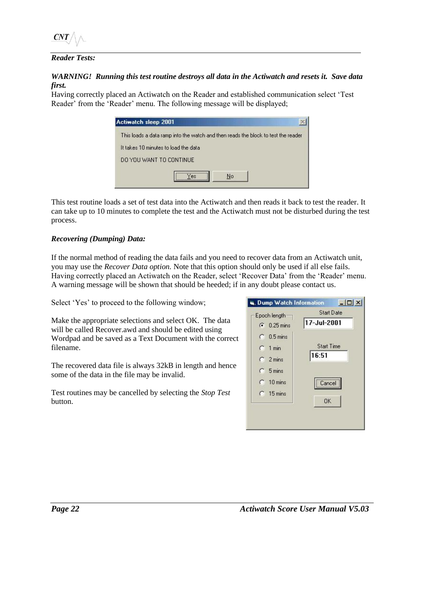#### <span id="page-23-0"></span>*Reader Tests:*

#### *WARNING! Running this test routine destroys all data in the Actiwatch and resets it. Save data first.*

Having correctly placed an Actiwatch on the Reader and established communication select 'Test Reader' from the 'Reader' menu. The following message will be displayed;

| <b>Actiwatch sleep 2001</b>          |                                                                                   |  |
|--------------------------------------|-----------------------------------------------------------------------------------|--|
|                                      | This loads a data ramp into the watch and then reads the block to test the reader |  |
| It takes 10 minutes to load the data |                                                                                   |  |
| DO YOU WANT TO CONTINUE              |                                                                                   |  |
|                                      | <br>No<br><b>PS</b>                                                               |  |

This test routine loads a set of test data into the Actiwatch and then reads it back to test the reader. It can take up to 10 minutes to complete the test and the Actiwatch must not be disturbed during the test process.

#### <span id="page-23-1"></span>*Recovering (Dumping) Data:*

If the normal method of reading the data fails and you need to recover data from an Actiwatch unit, you may use the *Recover Data option.* Note that this option should only be used if all else fails. Having correctly placed an Actiwatch on the Reader, select 'Recover Data' from the 'Reader' menu. A warning message will be shown that should be heeded; if in any doubt please contact us.

Select 'Yes' to proceed to the following window;

Make the appropriate selections and select OK. The data will be called Recover.awd and should be edited using Wordpad and be saved as a Text Document with the correct filename.

The recovered data file is always 32kB in length and hence some of the data in the file may be invalid.

Test routines may be cancelled by selecting the *Stop Test* button.